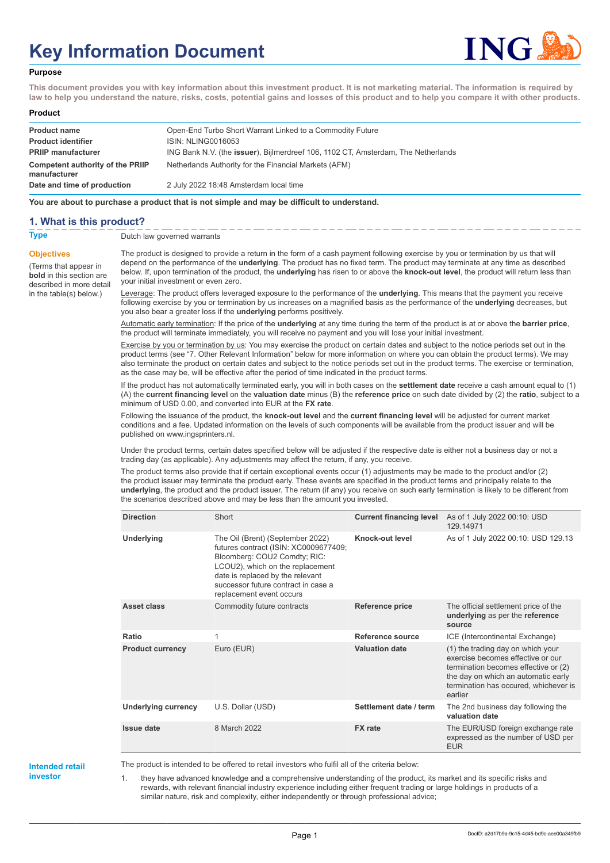# **Key Information Document**



#### **Purpose**

**This document provides you with key information about this investment product. It is not marketing material. The information is required by law to help you understand the nature, risks, costs, potential gains and losses of this product and to help you compare it with other products.**

#### **Product**

| <b>Product name</b><br><b>Product identifier</b>        | Open-End Turbo Short Warrant Linked to a Commodity Future<br>ISIN: NLING0016053   |
|---------------------------------------------------------|-----------------------------------------------------------------------------------|
| <b>PRIIP manufacturer</b>                               | ING Bank N.V. (the issuer), Bijlmerdreef 106, 1102 CT, Amsterdam, The Netherlands |
| <b>Competent authority of the PRIIP</b><br>manufacturer | Netherlands Authority for the Financial Markets (AFM)                             |
| Date and time of production                             | 2 July 2022 18:48 Amsterdam local time                                            |

**You are about to purchase a product that is not simple and may be difficult to understand.**

#### **1. What is this product?**

**Objectives**

(Terms that appear in **bold** in this section are

in the table(s) below.)

**Type** Dutch law governed warrants

described in more detail The product is designed to provide a return in the form of a cash payment following exercise by you or termination by us that will depend on the performance of the **underlying**. The product has no fixed term. The product may terminate at any time as described below. If, upon termination of the product, the **underlying** has risen to or above the **knock-out level**, the product will return less than your initial investment or even zero.

> Leverage: The product offers leveraged exposure to the performance of the **underlying**. This means that the payment you receive following exercise by you or termination by us increases on a magnified basis as the performance of the **underlying** decreases, but you also bear a greater loss if the **underlying** performs positively.

> Automatic early termination: If the price of the **underlying** at any time during the term of the product is at or above the **barrier price**, the product will terminate immediately, you will receive no payment and you will lose your initial investment.

Exercise by you or termination by us: You may exercise the product on certain dates and subject to the notice periods set out in the product terms (see "7. Other Relevant Information" below for more information on where you can obtain the product terms). We may also terminate the product on certain dates and subject to the notice periods set out in the product terms. The exercise or termination, as the case may be, will be effective after the period of time indicated in the product terms.

If the product has not automatically terminated early, you will in both cases on the **settlement date** receive a cash amount equal to (1) (A) the **current financing level** on the **valuation date** minus (B) the **reference price** on such date divided by (2) the **ratio**, subject to a minimum of USD 0.00, and converted into EUR at the **FX rate**.

Following the issuance of the product, the **knock-out level** and the **current financing level** will be adjusted for current market conditions and a fee. Updated information on the levels of such components will be available from the product issuer and will be published on www.ingsprinters.nl.

Under the product terms, certain dates specified below will be adjusted if the respective date is either not a business day or not a trading day (as applicable). Any adjustments may affect the return, if any, you receive.

The product terms also provide that if certain exceptional events occur (1) adjustments may be made to the product and/or (2) the product issuer may terminate the product early. These events are specified in the product terms and principally relate to the **underlying**, the product and the product issuer. The return (if any) you receive on such early termination is likely to be different from the scenarios described above and may be less than the amount you invested.

| <b>Direction</b>           | Short                                                                                                                                                                                                                                                | <b>Current financing level</b> | As of 1 July 2022 00:10: USD<br>129.14971                                                                                                                                                                 |
|----------------------------|------------------------------------------------------------------------------------------------------------------------------------------------------------------------------------------------------------------------------------------------------|--------------------------------|-----------------------------------------------------------------------------------------------------------------------------------------------------------------------------------------------------------|
| Underlying                 | The Oil (Brent) (September 2022)<br>futures contract (ISIN: XC0009677409;<br>Bloomberg: COU2 Comdty; RIC:<br>LCOU2), which on the replacement<br>date is replaced by the relevant<br>successor future contract in case a<br>replacement event occurs | Knock-out level                | As of 1 July 2022 00:10: USD 129.13                                                                                                                                                                       |
| Asset class                | Commodity future contracts                                                                                                                                                                                                                           | Reference price                | The official settlement price of the<br>underlying as per the reference<br>source                                                                                                                         |
| Ratio                      | 1                                                                                                                                                                                                                                                    | Reference source               | ICE (Intercontinental Exchange)                                                                                                                                                                           |
| <b>Product currency</b>    | Euro (EUR)                                                                                                                                                                                                                                           | <b>Valuation date</b>          | (1) the trading day on which your<br>exercise becomes effective or our<br>termination becomes effective or (2)<br>the day on which an automatic early<br>termination has occured, whichever is<br>earlier |
| <b>Underlying currency</b> | U.S. Dollar (USD)                                                                                                                                                                                                                                    | Settlement date / term         | The 2nd business day following the<br>valuation date                                                                                                                                                      |
| <b>Issue date</b>          | 8 March 2022                                                                                                                                                                                                                                         | <b>FX</b> rate                 | The EUR/USD foreign exchange rate<br>expressed as the number of USD per<br><b>EUR</b>                                                                                                                     |

#### **Intended retail investor**

The product is intended to be offered to retail investors who fulfil all of the criteria below:

1. they have advanced knowledge and a comprehensive understanding of the product, its market and its specific risks and rewards, with relevant financial industry experience including either frequent trading or large holdings in products of a similar nature, risk and complexity, either independently or through professional advice;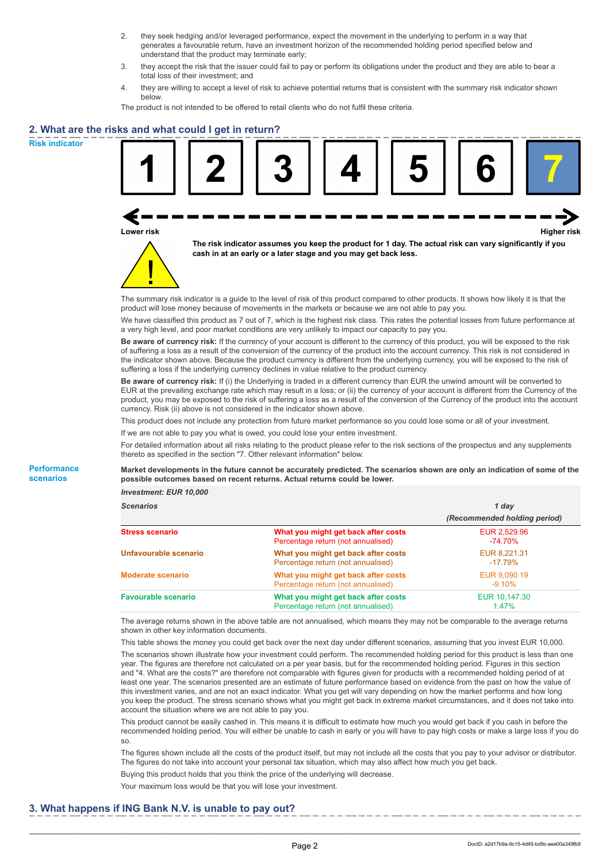- 2. they seek hedging and/or leveraged performance, expect the movement in the underlying to perform in a way that generates a favourable return, have an investment horizon of the recommended holding period specified below and understand that the product may terminate early;
- 3. they accept the risk that the issuer could fail to pay or perform its obligations under the product and they are able to bear a total loss of their investment; and
- 4. they are willing to accept a level of risk to achieve potential returns that is consistent with the summary risk indicator shown below.

The product is not intended to be offered to retail clients who do not fulfil these criteria.

## **2. What are the risks and what could I get in return?**

**Risk indicator**

**Performance scenarios**





**The risk indicator assumes you keep the product for 1 day. The actual risk can vary significantly if you cash in at an early or a later stage and you may get back less.**

The summary risk indicator is a guide to the level of risk of this product compared to other products. It shows how likely it is that the product will lose money because of movements in the markets or because we are not able to pay you.

We have classified this product as 7 out of 7, which is the highest risk class. This rates the potential losses from future performance at a very high level, and poor market conditions are very unlikely to impact our capacity to pay you.

**Be aware of currency risk:** If the currency of your account is different to the currency of this product, you will be exposed to the risk of suffering a loss as a result of the conversion of the currency of the product into the account currency. This risk is not considered in the indicator shown above. Because the product currency is different from the underlying currency, you will be exposed to the risk of suffering a loss if the underlying currency declines in value relative to the product currency.

**Be aware of currency risk:** If (i) the Underlying is traded in a different currency than EUR the unwind amount will be converted to EUR at the prevailing exchange rate which may result in a loss; or (ii) the currency of your account is different from the Currency of the product, you may be exposed to the risk of suffering a loss as a result of the conversion of the Currency of the product into the account currency. Risk (ii) above is not considered in the indicator shown above.

This product does not include any protection from future market performance so you could lose some or all of your investment.

If we are not able to pay you what is owed, you could lose your entire investment.

For detailed information about all risks relating to the product please refer to the risk sections of the prospectus and any supplements thereto as specified in the section "7. Other relevant information" below.

**Market developments in the future cannot be accurately predicted. The scenarios shown are only an indication of some of the possible outcomes based on recent returns. Actual returns could be lower.**

*Investment: EUR 10,000*

| <b>Scenarios</b>           |                                                                           | 1 day                        |  |
|----------------------------|---------------------------------------------------------------------------|------------------------------|--|
|                            |                                                                           | (Recommended holding period) |  |
| Stress scenario            | What you might get back after costs<br>Percentage return (not annualised) | EUR 2,529.96<br>-74.70%      |  |
| Unfavourable scenario      | What you might get back after costs<br>Percentage return (not annualised) | EUR 8.221.31<br>-17.79%      |  |
| <b>Moderate scenario</b>   | What you might get back after costs<br>Percentage return (not annualised) | EUR 9.090.19<br>$-9.10\%$    |  |
| <b>Favourable scenario</b> | What you might get back after costs<br>Percentage return (not annualised) | EUR 10,147.30<br>1.47%       |  |

The average returns shown in the above table are not annualised, which means they may not be comparable to the average returns shown in other key information documents.

This table shows the money you could get back over the next day under different scenarios, assuming that you invest EUR 10,000. The scenarios shown illustrate how your investment could perform. The recommended holding period for this product is less than one year. The figures are therefore not calculated on a per year basis, but for the recommended holding period. Figures in this section and "4. What are the costs?" are therefore not comparable with figures given for products with a recommended holding period of at least one year. The scenarios presented are an estimate of future performance based on evidence from the past on how the value of this investment varies, and are not an exact indicator. What you get will vary depending on how the market performs and how long you keep the product. The stress scenario shows what you might get back in extreme market circumstances, and it does not take into account the situation where we are not able to pay you.

This product cannot be easily cashed in. This means it is difficult to estimate how much you would get back if you cash in before the recommended holding period. You will either be unable to cash in early or you will have to pay high costs or make a large loss if you do so.

The figures shown include all the costs of the product itself, but may not include all the costs that you pay to your advisor or distributor. The figures do not take into account your personal tax situation, which may also affect how much you get back.

Buying this product holds that you think the price of the underlying will decrease.

Your maximum loss would be that you will lose your investment.

### **3. What happens if ING Bank N.V. is unable to pay out?**